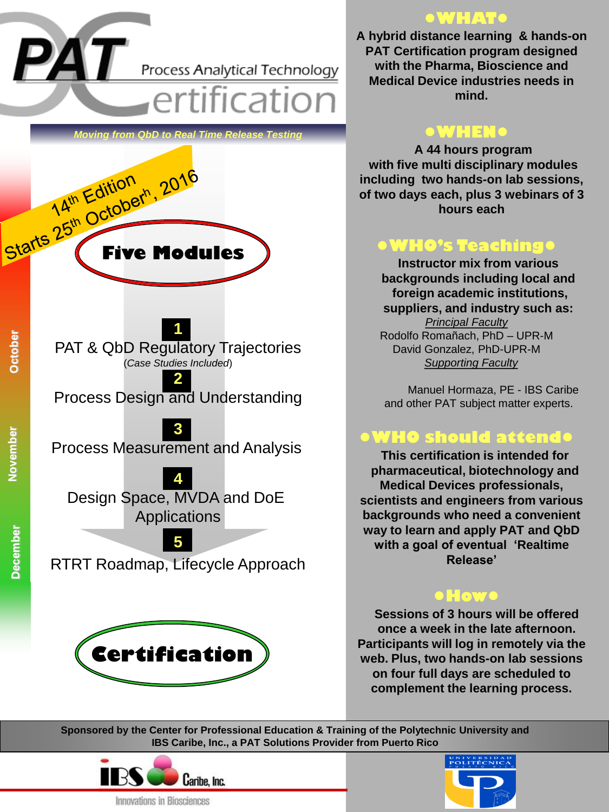**PAT** Process Analytical Technology

ertification,

Starts 25th October<sup>h</sup>, 2016 **October** *<u>Oving from QbD to Real Time Release Testing Testing</del>*</u> **1** PAT & QbD Regulatory Trajectories (*Case Studies Included*) **2** Process Design and Understanding **3** Process Measurement and Analysis **4** Design Space, MVDA and DoE

Applications

**5** RTRT Roadmap, Lifecycle Approach



### **●WHAT●**

**A hybrid distance learning & hands-on PAT Certification program designed with the Pharma, Bioscience and Medical Device industries needs in mind.**

### **●WHEN●**

**A 44 hours program with five multi disciplinary modules including two hands-on lab sessions, of two days each, plus 3 webinars of 3 hours each**

# **●WHO's Teaching●**

**Instructor mix from various backgrounds including local and foreign academic institutions, suppliers, and industry such as:** *Principal Faculty* Rodolfo Romañach, PhD – UPR-M David Gonzalez, PhD-UPR-M *Supporting Faculty*

Manuel Hormaza, PE - IBS Caribe and other PAT subject matter experts.

## **●WHO should attend●**

**This certification is intended for pharmaceutical, biotechnology and Medical Devices professionals, scientists and engineers from various backgrounds who need a convenient way to learn and apply PAT and QbD with a goal of eventual 'Realtime Release'**

### **●How●**

**Sessions of 3 hours will be offered once a week in the late afternoon. Participants will log in remotely via the web. Plus, two hands-on lab sessions on four full days are scheduled to complement the learning process.**

**Sponsored by the Center for Professional Education & Training of the Polytechnic University and IBS Caribe, Inc., a PAT Solutions Provider from Puerto Rico**